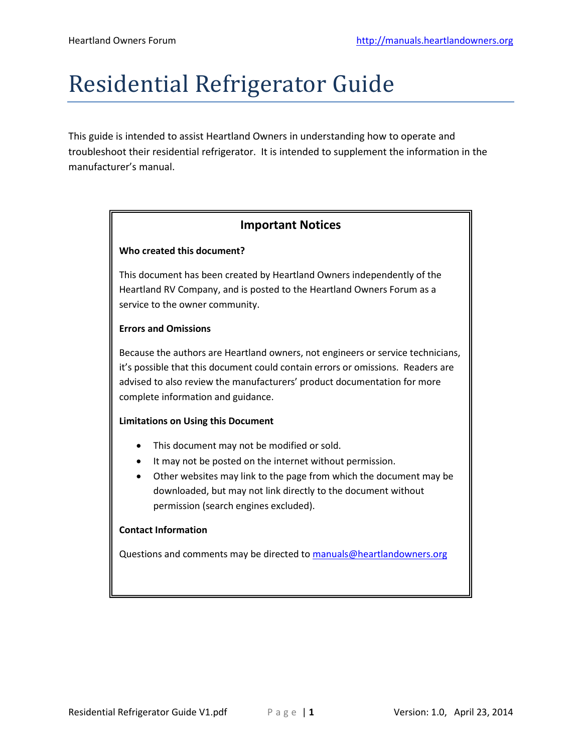# Residential Refrigerator Guide

This guide is intended to assist Heartland Owners in understanding how to operate and troubleshoot their residential refrigerator. It is intended to supplement the information in the manufacturer's manual.

### **Important Notices**

#### **Who created this document?**

This document has been created by Heartland Owners independently of the Heartland RV Company, and is posted to the Heartland Owners Forum as a service to the owner community.

#### **Errors and Omissions**

Because the authors are Heartland owners, not engineers or service technicians, it's possible that this document could contain errors or omissions. Readers are advised to also review the manufacturers' product documentation for more complete information and guidance.

#### **Limitations on Using this Document**

- This document may not be modified or sold.
- It may not be posted on the internet without permission.
- Other websites may link to the page from which the document may be downloaded, but may not link directly to the document without permission (search engines excluded).

#### **Contact Information**

Questions and comments may be directed to [manuals@heartlandowners.org](mailto:manuals@heartlandowners.org)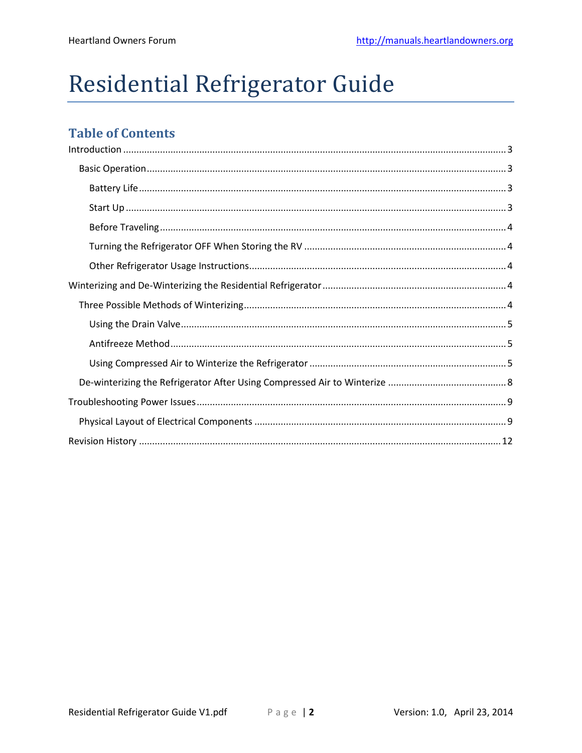# Residential Refrigerator Guide

# **Table of Contents**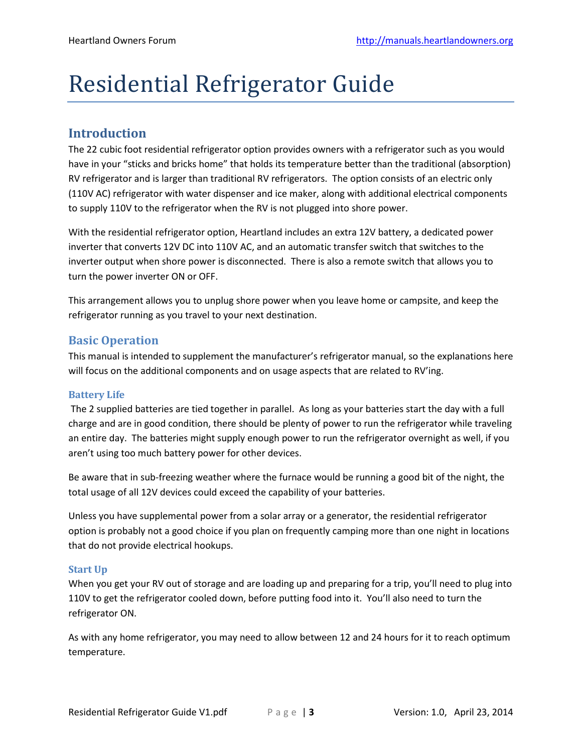# Residential Refrigerator Guide

## <span id="page-2-0"></span>**Introduction**

The 22 cubic foot residential refrigerator option provides owners with a refrigerator such as you would have in your "sticks and bricks home" that holds its temperature better than the traditional (absorption) RV refrigerator and is larger than traditional RV refrigerators. The option consists of an electric only (110V AC) refrigerator with water dispenser and ice maker, along with additional electrical components to supply 110V to the refrigerator when the RV is not plugged into shore power.

With the residential refrigerator option, Heartland includes an extra 12V battery, a dedicated power inverter that converts 12V DC into 110V AC, and an automatic transfer switch that switches to the inverter output when shore power is disconnected. There is also a remote switch that allows you to turn the power inverter ON or OFF.

This arrangement allows you to unplug shore power when you leave home or campsite, and keep the refrigerator running as you travel to your next destination.

## <span id="page-2-1"></span>**Basic Operation**

This manual is intended to supplement the manufacturer's refrigerator manual, so the explanations here will focus on the additional components and on usage aspects that are related to RV'ing.

#### <span id="page-2-2"></span>**Battery Life**

The 2 supplied batteries are tied together in parallel. As long as your batteries start the day with a full charge and are in good condition, there should be plenty of power to run the refrigerator while traveling an entire day. The batteries might supply enough power to run the refrigerator overnight as well, if you aren't using too much battery power for other devices.

Be aware that in sub-freezing weather where the furnace would be running a good bit of the night, the total usage of all 12V devices could exceed the capability of your batteries.

Unless you have supplemental power from a solar array or a generator, the residential refrigerator option is probably not a good choice if you plan on frequently camping more than one night in locations that do not provide electrical hookups.

#### <span id="page-2-3"></span>**Start Up**

When you get your RV out of storage and are loading up and preparing for a trip, you'll need to plug into 110V to get the refrigerator cooled down, before putting food into it. You'll also need to turn the refrigerator ON.

As with any home refrigerator, you may need to allow between 12 and 24 hours for it to reach optimum temperature.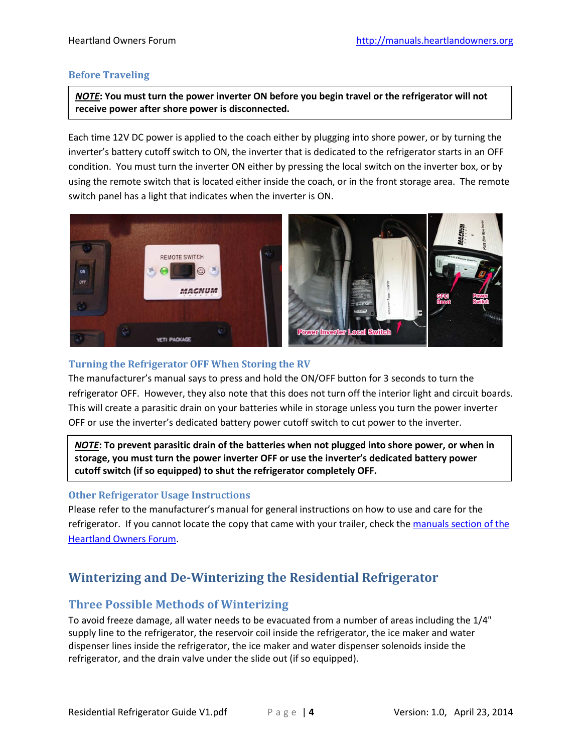#### <span id="page-3-0"></span>**Before Traveling**

*NOTE***: You must turn the power inverter ON before you begin travel or the refrigerator will not receive power after shore power is disconnected.**

Each time 12V DC power is applied to the coach either by plugging into shore power, or by turning the inverter's battery cutoff switch to ON, the inverter that is dedicated to the refrigerator starts in an OFF condition. You must turn the inverter ON either by pressing the local switch on the inverter box, or by using the remote switch that is located either inside the coach, or in the front storage area. The remote switch panel has a light that indicates when the inverter is ON.



#### <span id="page-3-1"></span>**Turning the Refrigerator OFF When Storing the RV**

The manufacturer's manual says to press and hold the ON/OFF button for 3 seconds to turn the refrigerator OFF. However, they also note that this does not turn off the interior light and circuit boards. This will create a parasitic drain on your batteries while in storage unless you turn the power inverter OFF or use the inverter's dedicated battery power cutoff switch to cut power to the inverter.

*NOTE***: To prevent parasitic drain of the batteries when not plugged into shore power, or when in storage, you must turn the power inverter OFF or use the inverter's dedicated battery power cutoff switch (if so equipped) to shut the refrigerator completely OFF.**

#### <span id="page-3-2"></span>**Other Refrigerator Usage Instructions**

Please refer to the manufacturer's manual for general instructions on how to use and care for the refrigerator. If you cannot locate the copy that came with your trailer, check th[e manuals section of the](http://manuals.heartlandowners.org/?man=/Appliances/Refrigerator)  [Heartland Owners Forum.](http://manuals.heartlandowners.org/?man=/Appliances/Refrigerator)

## <span id="page-3-3"></span>**Winterizing and De-Winterizing the Residential Refrigerator**

#### <span id="page-3-4"></span>**Three Possible Methods of Winterizing**

To avoid freeze damage, all water needs to be evacuated from a number of areas including the 1/4" supply line to the refrigerator, the reservoir coil inside the refrigerator, the ice maker and water dispenser lines inside the refrigerator, the ice maker and water dispenser solenoids inside the refrigerator, and the drain valve under the slide out (if so equipped).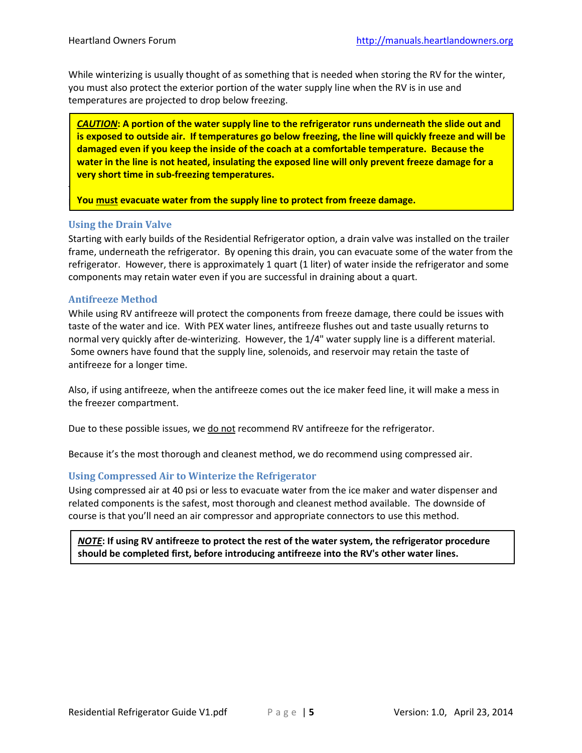While winterizing is usually thought of as something that is needed when storing the RV for the winter, you must also protect the exterior portion of the water supply line when the RV is in use and temperatures are projected to drop below freezing.

*CAUTION***: A portion of the water supply line to the refrigerator runs underneath the slide out and is exposed to outside air. If temperatures go below freezing, the line will quickly freeze and will be damaged even if you keep the inside of the coach at a comfortable temperature. Because the water in the line is not heated, insulating the exposed line will only prevent freeze damage for a very short time in sub-freezing temperatures.**

The methods are available, but they are not equal. Each is explained, but one is  $\alpha$ 

**Phere. The state symterm is ally constrain** a viet to protect from freeze damage.

#### <span id="page-4-0"></span>**Using the Drain Valve**

Starting with early builds of the Residential Refrigerator option, a drain valve was installed on the trailer frame, underneath the refrigerator. By opening this drain, you can evacuate some of the water from the refrigerator. However, there is approximately 1 quart (1 liter) of water inside the refrigerator and some components may retain water even if you are successful in draining about a quart.

#### <span id="page-4-1"></span>**Antifreeze Method**

While using RV antifreeze will protect the components from freeze damage, there could be issues with taste of the water and ice. With PEX water lines, antifreeze flushes out and taste usually returns to normal very quickly after de-winterizing. However, the 1/4" water supply line is a different material. Some owners have found that the supply line, solenoids, and reservoir may retain the taste of antifreeze for a longer time.

Also, if using antifreeze, when the antifreeze comes out the ice maker feed line, it will make a mess in the freezer compartment.

Due to these possible issues, we do not recommend RV antifreeze for the refrigerator.

<span id="page-4-2"></span>Because it's the most thorough and cleanest method, we do recommend using compressed air.

#### **Using Compressed Air to Winterize the Refrigerator**

Using compressed air at 40 psi or less to evacuate water from the ice maker and water dispenser and related components is the safest, most thorough and cleanest method available. The downside of course is that you'll need an air compressor and appropriate connectors to use this method.

*NOTE***: If using RV antifreeze to protect the rest of the water system, the refrigerator procedure should be completed first, before introducing antifreeze into the RV's other water lines.**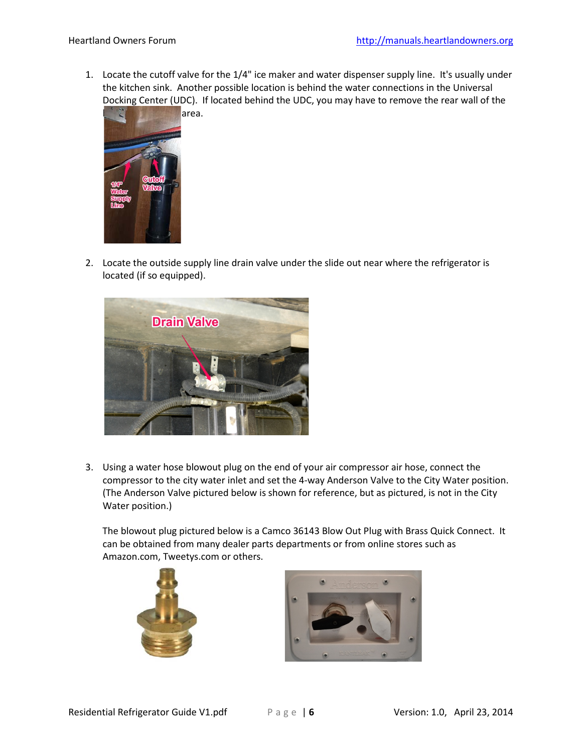1. Locate the cutoff valve for the 1/4" ice maker and water dispenser supply line. It's usually under the kitchen sink. Another possible location is behind the water connections in the Universal Docking Center (UDC). If located behind the UDC, you may have to remove the rear wall of the



2. Locate the outside supply line drain valve under the slide out near where the refrigerator is located (if so equipped).



3. Using a water hose blowout plug on the end of your air compressor air hose, connect the compressor to the city water inlet and set the 4-way Anderson Valve to the City Water position. (The Anderson Valve pictured below is shown for reference, but as pictured, is not in the City Water position.)

The blowout plug pictured below is a Camco 36143 Blow Out Plug with Brass Quick Connect. It can be obtained from many dealer parts departments or from online stores such as Amazon.com, Tweetys.com or others.



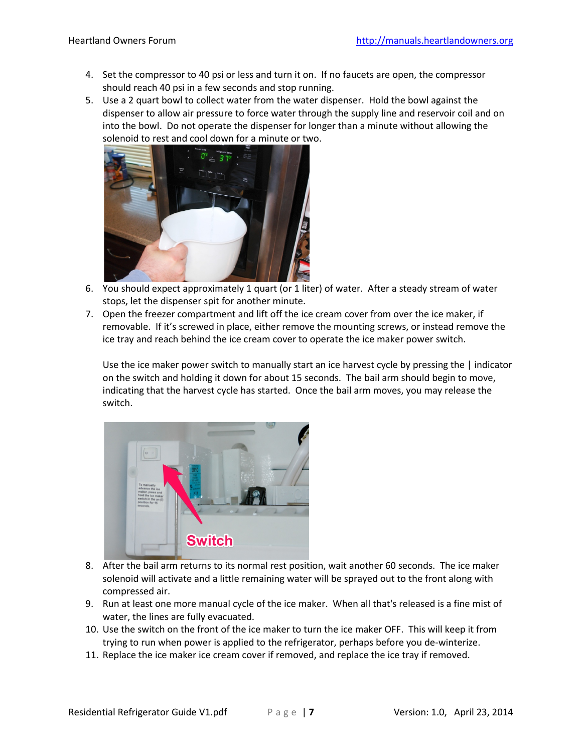- 4. Set the compressor to 40 psi or less and turn it on. If no faucets are open, the compressor should reach 40 psi in a few seconds and stop running.
- 5. Use a 2 quart bowl to collect water from the water dispenser. Hold the bowl against the dispenser to allow air pressure to force water through the supply line and reservoir coil and on into the bowl. Do not operate the dispenser for longer than a minute without allowing the solenoid to rest and cool down for a minute or two.



- 6. You should expect approximately 1 quart (or 1 liter) of water. After a steady stream of water stops, let the dispenser spit for another minute.
- 7. Open the freezer compartment and lift off the ice cream cover from over the ice maker, if removable. If it's screwed in place, either remove the mounting screws, or instead remove the ice tray and reach behind the ice cream cover to operate the ice maker power switch.

Use the ice maker power switch to manually start an ice harvest cycle by pressing the | indicator on the switch and holding it down for about 15 seconds. The bail arm should begin to move, indicating that the harvest cycle has started. Once the bail arm moves, you may release the switch.



- 8. After the bail arm returns to its normal rest position, wait another 60 seconds. The ice maker solenoid will activate and a little remaining water will be sprayed out to the front along with compressed air.
- 9. Run at least one more manual cycle of the ice maker. When all that's released is a fine mist of water, the lines are fully evacuated.
- 10. Use the switch on the front of the ice maker to turn the ice maker OFF. This will keep it from trying to run when power is applied to the refrigerator, perhaps before you de-winterize.
- 11. Replace the ice maker ice cream cover if removed, and replace the ice tray if removed.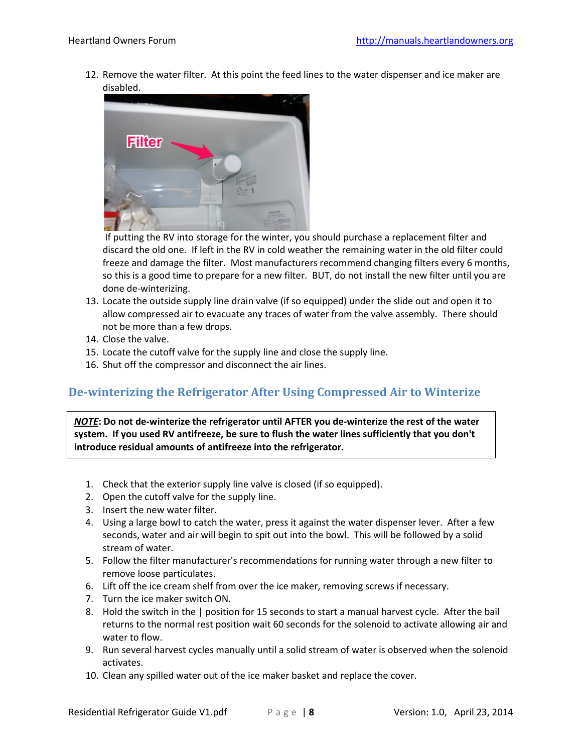12. Remove the water filter. At this point the feed lines to the water dispenser and ice maker are disabled.



If putting the RV into storage for the winter, you should purchase a replacement filter and discard the old one. If left in the RV in cold weather the remaining water in the old filter could freeze and damage the filter. Most manufacturers recommend changing filters every 6 months, so this is a good time to prepare for a new filter. BUT, do not install the new filter until you are done de-winterizing.

- 13. Locate the outside supply line drain valve (if so equipped) under the slide out and open it to allow compressed air to evacuate any traces of water from the valve assembly. There should not be more than a few drops.
- 14. Close the valve.
- 15. Locate the cutoff valve for the supply line and close the supply line.
- 16. Shut off the compressor and disconnect the air lines.

### <span id="page-7-0"></span>**De-winterizing the Refrigerator After Using Compressed Air to Winterize**

*NOTE***: Do not de-winterize the refrigerator until AFTER you de-winterize the rest of the water system. If you used RV antifreeze, be sure to flush the water lines sufficiently that you don't introduce residual amounts of antifreeze into the refrigerator.**

- 1. Check that the exterior supply line valve is closed (if so equipped).
- 2. Open the cutoff valve for the supply line.
- 3. Insert the new water filter.
- 4. Using a large bowl to catch the water, press it against the water dispenser lever. After a few seconds, water and air will begin to spit out into the bowl. This will be followed by a solid stream of water.
- 5. Follow the filter manufacturer's recommendations for running water through a new filter to remove loose particulates.
- 6. Lift off the ice cream shelf from over the ice maker, removing screws if necessary.
- 7. Turn the ice maker switch ON.
- 8. Hold the switch in the | position for 15 seconds to start a manual harvest cycle. After the bail returns to the normal rest position wait 60 seconds for the solenoid to activate allowing air and water to flow.
- 9. Run several harvest cycles manually until a solid stream of water is observed when the solenoid activates.
- 10. Clean any spilled water out of the ice maker basket and replace the cover.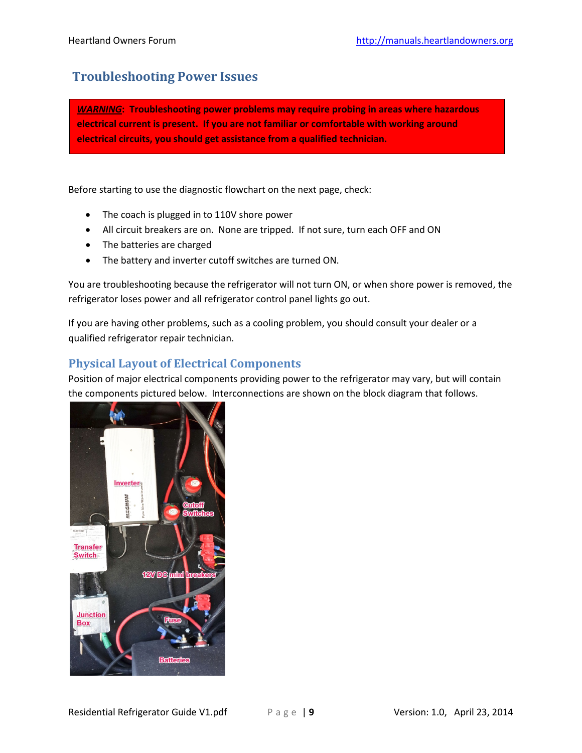## <span id="page-8-0"></span>**Troubleshooting Power Issues**

*WARNING***: Troubleshooting power problems may require probing in areas where hazardous electrical current is present. If you are not familiar or comfortable with working around electrical circuits, you should get assistance from a qualified technician.**

Before starting to use the diagnostic flowchart on the next page, check:

- The coach is plugged in to 110V shore power
- All circuit breakers are on. None are tripped. If not sure, turn each OFF and ON
- The batteries are charged
- The battery and inverter cutoff switches are turned ON.

You are troubleshooting because the refrigerator will not turn ON, or when shore power is removed, the refrigerator loses power and all refrigerator control panel lights go out.

If you are having other problems, such as a cooling problem, you should consult your dealer or a qualified refrigerator repair technician.

### <span id="page-8-1"></span>**Physical Layout of Electrical Components**

Position of major electrical components providing power to the refrigerator may vary, but will contain the components pictured below. Interconnections are shown on the block diagram that follows.

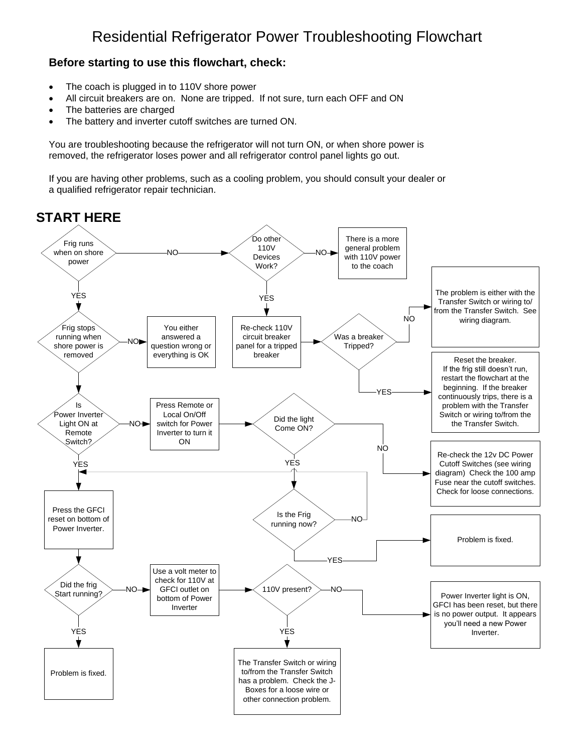## **Before starting to use this flowchart, check:**

- The coach is plugged in to 110V shore power
- All circuit breakers are on. None are tripped. If not sure, turn each OFF and ON
- The batteries are charged
- The battery and inverter cutoff switches are turned ON.

You are troubleshooting because the refrigerator will not turn ON, or when shore power is removed, the refrigerator loses power and all refrigerator control panel lights go out.

If you are having other problems, such as a cooling problem, you should consult your dealer or a qualified refrigerator repair technician.

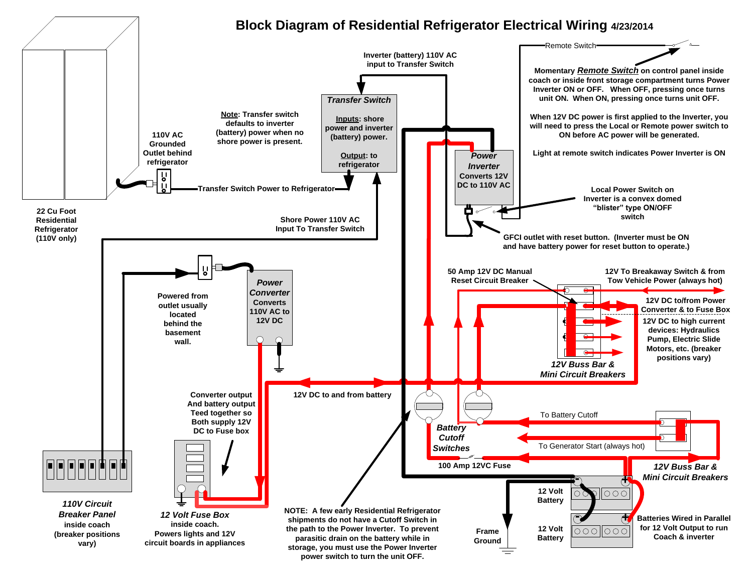